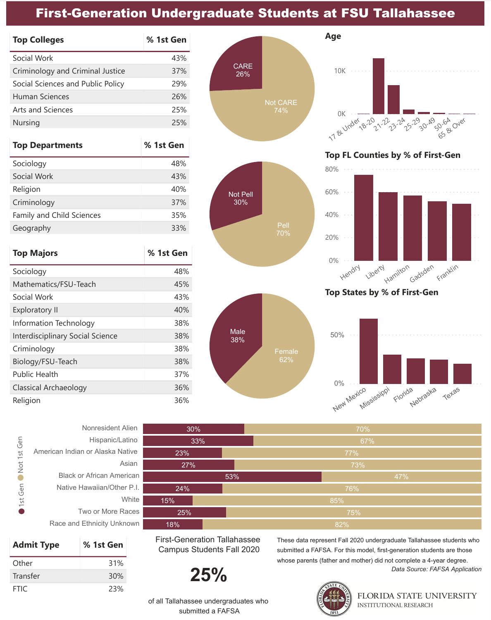# **First-Generation Undergraduate Students at FSU Tallahassee**

| <b>Top Colleges</b>               | % 1st Gen |
|-----------------------------------|-----------|
| Social Work                       | 43%       |
| Criminology and Criminal Justice  | 37%       |
| Social Sciences and Public Policy | 29%       |
| Human Sciences                    | 26%       |
| Arts and Sciences                 | 25%       |
| Nursing                           | 25%       |

| <b>Top Departments</b>    | % 1st Gen |
|---------------------------|-----------|
| Sociology                 | 48%       |
| Social Work               | 43%       |
| Religion                  | 40%       |
| Criminology               | 37%       |
| Family and Child Sciences | 35%       |
| Geography                 | 33%       |

| <b>Top Majors</b>                       | % 1st Gen |
|-----------------------------------------|-----------|
| Sociology                               | 48%       |
| Mathematics/FSU-Teach                   | 45%       |
| Social Work                             | 43%       |
| <b>Exploratory II</b>                   | 40%       |
| Information Technology                  | 38%       |
| <b>Interdisciplinary Social Science</b> | 38%       |
| Criminology                             | 38%       |
| Biology/FSU-Teach                       | 38%       |
| <b>Public Health</b>                    | 37%       |
| Classical Archaeology                   | 36%       |
| Religion                                | 36%       |



**Age**



38% Male



#### **Top FL Counties by % of First-Gen**



### **Top States by % of First-Gen**



| Nonresident Alien                |             |
|----------------------------------|-------------|
| Hispanic/Latino                  |             |
| American Indian or Alaska Native | Not 1st Gen |
| Asian                            |             |
| <b>Black or African American</b> |             |
| Native Hawaiian/Other P.I.       |             |
| White                            | 1st Gen     |
| Two or More Races                |             |
| Race and Ethnicity Unknown       |             |

| <b>Admit Type</b> | % 1st Gen |
|-------------------|-----------|
| Other             | 31%       |
| Transfer          | 30%       |
| FTIC.             | 23%       |

30% 33% 23% 27% 53% 24% 15% 25%  $18\%$ 70% 67% 82%

First-Generation Tallahassee Campus Students Fall 2020

$$
25\%
$$

These data represent Fall 2020 undergraduate Tallahassee students who submitted a FAFSA. For this model, first-generation students are those whose parents (father and mother) did not complete a 4-year degree. *Data Source: FAFSA Application*



of all Tallahassee undergraduates who submitted a FAFSA